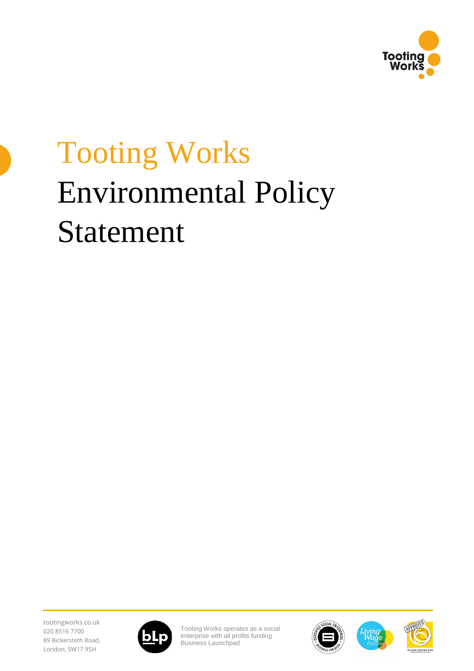

## Tooting Works Environmental Policy Statement

tootingworks.co.uk 020 8516 7700 89 Bickersteth Road, London, SW17 9SH



Tooting Works operates as a social enterprise with all profits funding [Business Launchpad](https://businesslaunchpad.org.uk/)





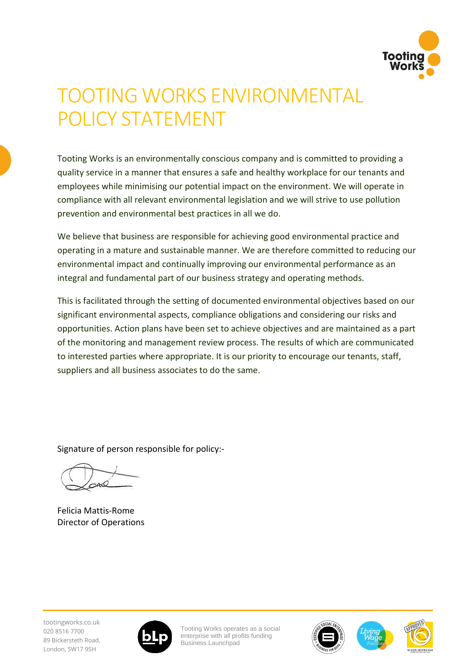

## TOOTING WORKS ENVIRONMENTAL POLICY STATEMENT

Tooting Works is an environmentally conscious company and is committed to providing a quality service in a manner that ensures a safe and healthy workplace for our tenants and employees while minimising our potential impact on the environment. We will operate in compliance with all relevant environmental legislation and we will strive to use pollution prevention and environmental best practices in all we do.

We believe that business are responsible for achieving good environmental practice and operating in a mature and sustainable manner. We are therefore committed to reducing our environmental impact and continually improving our environmental performance as an integral and fundamental part of our business strategy and operating methods.

This is facilitated through the setting of documented environmental objectives based on our significant environmental aspects, compliance obligations and considering our risks and opportunities. Action plans have been set to achieve objectives and are maintained as a part of the monitoring and management review process. The results of which are communicated to interested parties where appropriate. It is our priority to encourage our tenants, staff, suppliers and all business associates to do the same.

Signature of person responsible for policy:-

Felicia Mattis-Rome Director of Operations





Tooting Works operates as a social enterprise with all profits funding [Business Launchpad](https://businesslaunchpad.org.uk/)